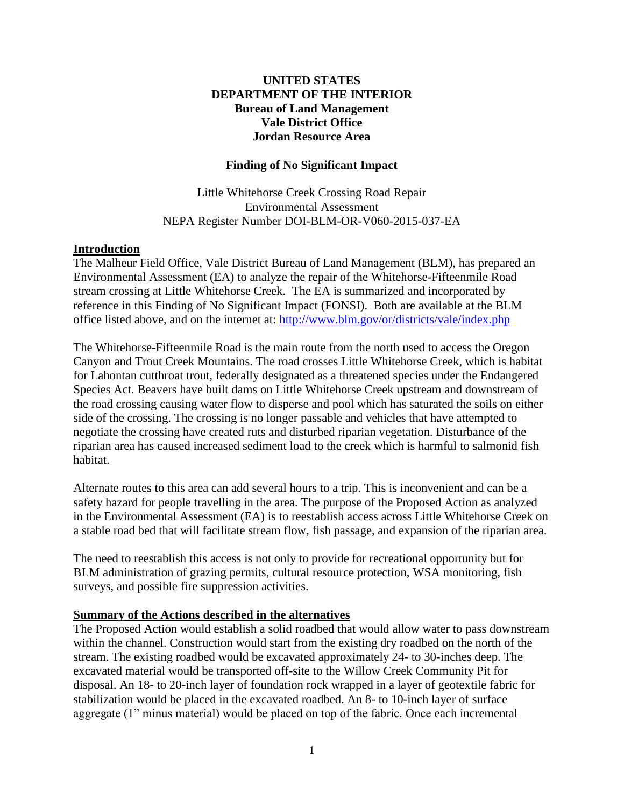## **UNITED STATES DEPARTMENT OF THE INTERIOR Bureau of Land Management Vale District Office Jordan Resource Area**

#### **Finding of No Significant Impact**

Little Whitehorse Creek Crossing Road Repair Environmental Assessment NEPA Register Number DOI-BLM-OR-V060-2015-037-EA

#### **Introduction**

The Malheur Field Office, Vale District Bureau of Land Management (BLM), has prepared an Environmental Assessment (EA) to analyze the repair of the Whitehorse-Fifteenmile Road stream crossing at Little Whitehorse Creek. The EA is summarized and incorporated by reference in this Finding of No Significant Impact (FONSI). Both are available at the BLM office listed above, and on the internet at:<http://www.blm.gov/or/districts/vale/index.php>

The Whitehorse-Fifteenmile Road is the main route from the north used to access the Oregon Canyon and Trout Creek Mountains. The road crosses Little Whitehorse Creek, which is habitat for Lahontan cutthroat trout, federally designated as a threatened species under the Endangered Species Act. Beavers have built dams on Little Whitehorse Creek upstream and downstream of the road crossing causing water flow to disperse and pool which has saturated the soils on either side of the crossing. The crossing is no longer passable and vehicles that have attempted to negotiate the crossing have created ruts and disturbed riparian vegetation. Disturbance of the riparian area has caused increased sediment load to the creek which is harmful to salmonid fish habitat.

Alternate routes to this area can add several hours to a trip. This is inconvenient and can be a safety hazard for people travelling in the area. The purpose of the Proposed Action as analyzed in the Environmental Assessment (EA) is to reestablish access across Little Whitehorse Creek on a stable road bed that will facilitate stream flow, fish passage, and expansion of the riparian area.

The need to reestablish this access is not only to provide for recreational opportunity but for BLM administration of grazing permits, cultural resource protection, WSA monitoring, fish surveys, and possible fire suppression activities.

#### **Summary of the Actions described in the alternatives**

The Proposed Action would establish a solid roadbed that would allow water to pass downstream within the channel. Construction would start from the existing dry roadbed on the north of the stream. The existing roadbed would be excavated approximately 24- to 30-inches deep. The excavated material would be transported off-site to the Willow Creek Community Pit for disposal. An 18- to 20-inch layer of foundation rock wrapped in a layer of geotextile fabric for stabilization would be placed in the excavated roadbed. An 8- to 10-inch layer of surface aggregate (1" minus material) would be placed on top of the fabric. Once each incremental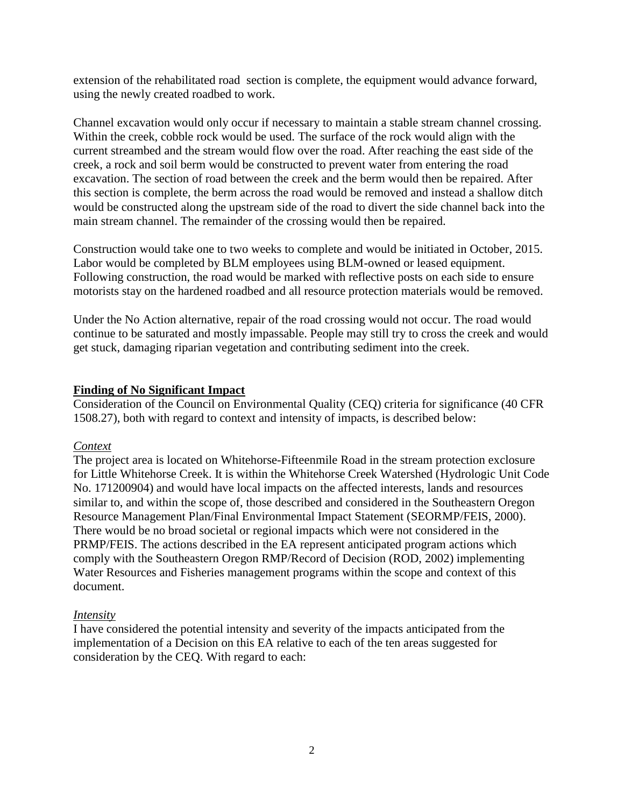extension of the rehabilitated road section is complete, the equipment would advance forward, using the newly created roadbed to work.

Channel excavation would only occur if necessary to maintain a stable stream channel crossing. Within the creek, cobble rock would be used. The surface of the rock would align with the current streambed and the stream would flow over the road. After reaching the east side of the creek, a rock and soil berm would be constructed to prevent water from entering the road excavation. The section of road between the creek and the berm would then be repaired. After this section is complete, the berm across the road would be removed and instead a shallow ditch would be constructed along the upstream side of the road to divert the side channel back into the main stream channel. The remainder of the crossing would then be repaired.

Construction would take one to two weeks to complete and would be initiated in October, 2015. Labor would be completed by BLM employees using BLM-owned or leased equipment. Following construction, the road would be marked with reflective posts on each side to ensure motorists stay on the hardened roadbed and all resource protection materials would be removed.

Under the No Action alternative, repair of the road crossing would not occur. The road would continue to be saturated and mostly impassable. People may still try to cross the creek and would get stuck, damaging riparian vegetation and contributing sediment into the creek.

## **Finding of No Significant Impact**

Consideration of the Council on Environmental Quality (CEQ) criteria for significance (40 CFR 1508.27), both with regard to context and intensity of impacts, is described below:

#### *Context*

The project area is located on Whitehorse-Fifteenmile Road in the stream protection exclosure for Little Whitehorse Creek. It is within the Whitehorse Creek Watershed (Hydrologic Unit Code No. 171200904) and would have local impacts on the affected interests, lands and resources similar to, and within the scope of, those described and considered in the Southeastern Oregon Resource Management Plan/Final Environmental Impact Statement (SEORMP/FEIS, 2000). There would be no broad societal or regional impacts which were not considered in the PRMP/FEIS. The actions described in the EA represent anticipated program actions which comply with the Southeastern Oregon RMP/Record of Decision (ROD, 2002) implementing Water Resources and Fisheries management programs within the scope and context of this document.

# *Intensity*

I have considered the potential intensity and severity of the impacts anticipated from the implementation of a Decision on this EA relative to each of the ten areas suggested for consideration by the CEQ. With regard to each: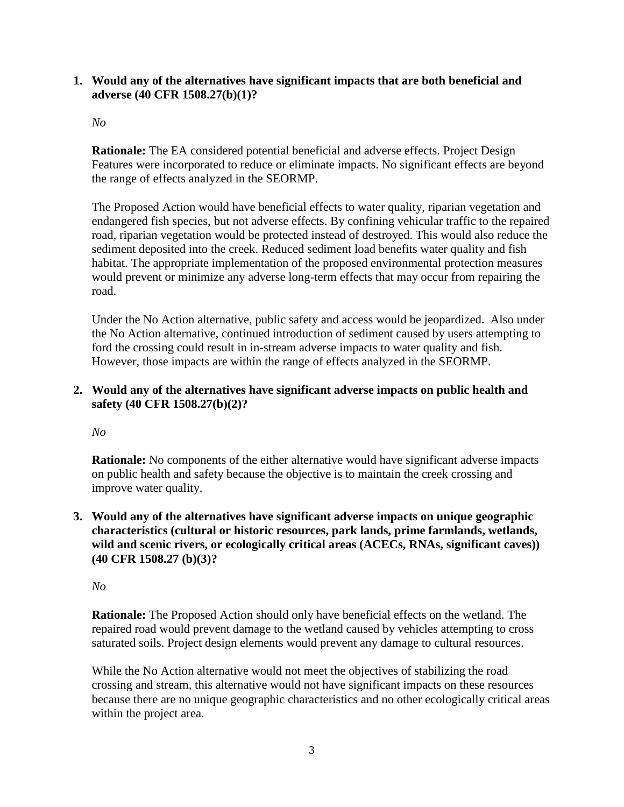### **1. Would any of the alternatives have significant impacts that are both beneficial and adverse (40 CFR 1508.27(b)(1)?**

#### *No*

**Rationale:** The EA considered potential beneficial and adverse effects. Project Design Features were incorporated to reduce or eliminate impacts. No significant effects are beyond the range of effects analyzed in the SEORMP.

The Proposed Action would have beneficial effects to water quality, riparian vegetation and endangered fish species, but not adverse effects. By confining vehicular traffic to the repaired road, riparian vegetation would be protected instead of destroyed. This would also reduce the sediment deposited into the creek. Reduced sediment load benefits water quality and fish habitat. The appropriate implementation of the proposed environmental protection measures would prevent or minimize any adverse long-term effects that may occur from repairing the road.

Under the No Action alternative, public safety and access would be jeopardized. Also under the No Action alternative, continued introduction of sediment caused by users attempting to ford the crossing could result in in-stream adverse impacts to water quality and fish. However, those impacts are within the range of effects analyzed in the SEORMP.

## **2. Would any of the alternatives have significant adverse impacts on public health and safety (40 CFR 1508.27(b)(2)?**

*No*

**Rationale:** No components of the either alternative would have significant adverse impacts on public health and safety because the objective is to maintain the creek crossing and improve water quality.

**3. Would any of the alternatives have significant adverse impacts on unique geographic characteristics (cultural or historic resources, park lands, prime farmlands, wetlands, wild and scenic rivers, or ecologically critical areas (ACECs, RNAs, significant caves)) (40 CFR 1508.27 (b)(3)?**

# *No*

**Rationale:** The Proposed Action should only have beneficial effects on the wetland. The repaired road would prevent damage to the wetland caused by vehicles attempting to cross saturated soils. Project design elements would prevent any damage to cultural resources.

While the No Action alternative would not meet the objectives of stabilizing the road crossing and stream, this alternative would not have significant impacts on these resources because there are no unique geographic characteristics and no other ecologically critical areas within the project area.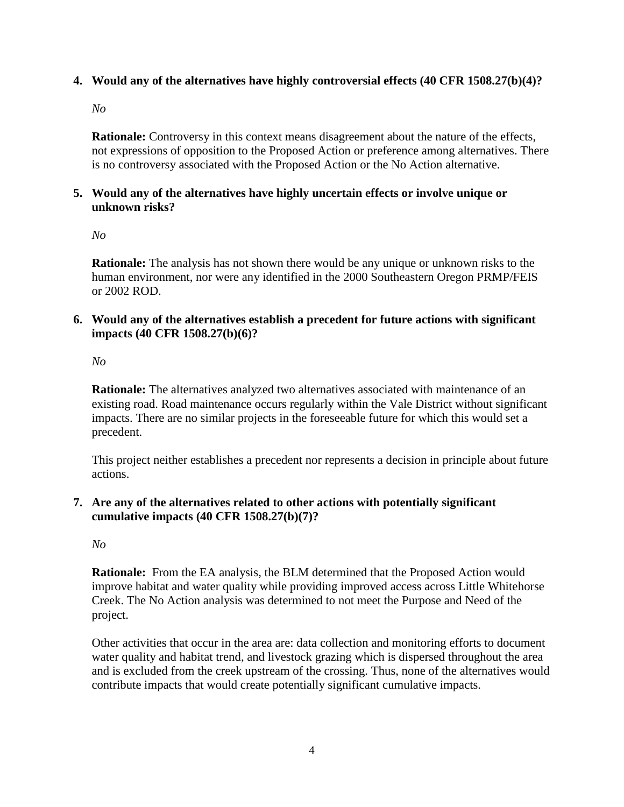## **4. Would any of the alternatives have highly controversial effects (40 CFR 1508.27(b)(4)?**

*No*

**Rationale:** Controversy in this context means disagreement about the nature of the effects, not expressions of opposition to the Proposed Action or preference among alternatives. There is no controversy associated with the Proposed Action or the No Action alternative.

#### **5. Would any of the alternatives have highly uncertain effects or involve unique or unknown risks?**

*No*

**Rationale:** The analysis has not shown there would be any unique or unknown risks to the human environment, nor were any identified in the 2000 Southeastern Oregon PRMP/FEIS or 2002 ROD.

**6. Would any of the alternatives establish a precedent for future actions with significant impacts (40 CFR 1508.27(b)(6)?**

*No*

**Rationale:** The alternatives analyzed two alternatives associated with maintenance of an existing road. Road maintenance occurs regularly within the Vale District without significant impacts. There are no similar projects in the foreseeable future for which this would set a precedent.

This project neither establishes a precedent nor represents a decision in principle about future actions.

**7. Are any of the alternatives related to other actions with potentially significant cumulative impacts (40 CFR 1508.27(b)(7)?**

*No*

**Rationale:** From the EA analysis, the BLM determined that the Proposed Action would improve habitat and water quality while providing improved access across Little Whitehorse Creek. The No Action analysis was determined to not meet the Purpose and Need of the project.

Other activities that occur in the area are: data collection and monitoring efforts to document water quality and habitat trend, and livestock grazing which is dispersed throughout the area and is excluded from the creek upstream of the crossing. Thus, none of the alternatives would contribute impacts that would create potentially significant cumulative impacts.